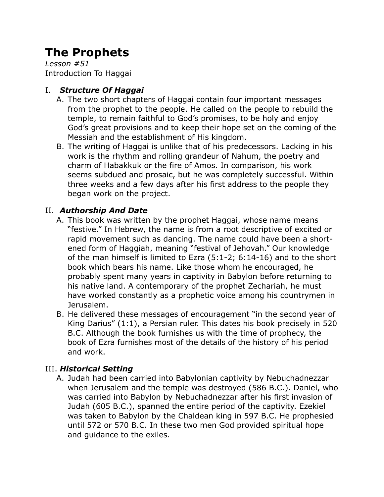# **The Prophets**

*Lesson #51* Introduction To Haggai

## I. *Structure Of Haggai*

- A. The two short chapters of Haggai contain four important messages from the prophet to the people. He called on the people to rebuild the temple, to remain faithful to God's promises, to be holy and enjoy God's great provisions and to keep their hope set on the coming of the Messiah and the establishment of His kingdom.
- B. The writing of Haggai is unlike that of his predecessors. Lacking in his work is the rhythm and rolling grandeur of Nahum, the poetry and charm of Habakkuk or the fire of Amos. In comparison, his work seems subdued and prosaic, but he was completely successful. Within three weeks and a few days after his first address to the people they began work on the project.

### II. *Authorship And Date*

- A. This book was written by the prophet Haggai, whose name means "festive." In Hebrew, the name is from a root descriptive of excited or rapid movement such as dancing. The name could have been a shortened form of Haggiah, meaning "festival of Jehovah." Our knowledge of the man himself is limited to Ezra (5:1-2; 6:14-16) and to the short book which bears his name. Like those whom he encouraged, he probably spent many years in captivity in Babylon before returning to his native land. A contemporary of the prophet Zechariah, he must have worked constantly as a prophetic voice among his countrymen in Jerusalem.
- B. He delivered these messages of encouragement "in the second year of King Darius" (1:1), a Persian ruler. This dates his book precisely in 520 B.C. Although the book furnishes us with the time of prophecy, the book of Ezra furnishes most of the details of the history of his period and work.

## III. *Historical Setting*

A. Judah had been carried into Babylonian captivity by Nebuchadnezzar when Jerusalem and the temple was destroyed (586 B.C.). Daniel, who was carried into Babylon by Nebuchadnezzar after his first invasion of Judah (605 B.C.), spanned the entire period of the captivity. Ezekiel was taken to Babylon by the Chaldean king in 597 B.C. He prophesied until 572 or 570 B.C. In these two men God provided spiritual hope and guidance to the exiles.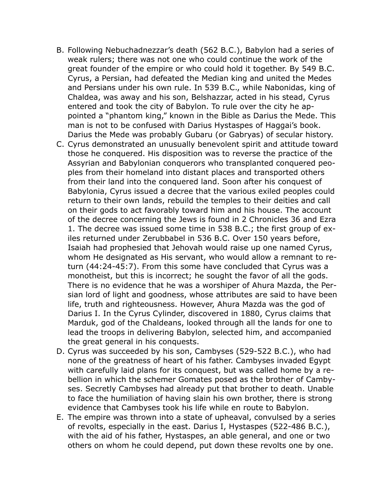- B. Following Nebuchadnezzar's death (562 B.C.), Babylon had a series of weak rulers; there was not one who could continue the work of the great founder of the empire or who could hold it together. By 549 B.C. Cyrus, a Persian, had defeated the Median king and united the Medes and Persians under his own rule. In 539 B.C., while Nabonidas, king of Chaldea, was away and his son, Belshazzar, acted in his stead, Cyrus entered and took the city of Babylon. To rule over the city he appointed a "phantom king," known in the Bible as Darius the Mede. This man is not to be confused with Darius Hystaspes of Haggai's book. Darius the Mede was probably Gubaru (or Gabryas) of secular history.
- C. Cyrus demonstrated an unusually benevolent spirit and attitude toward those he conquered. His disposition was to reverse the practice of the Assyrian and Babylonian conquerors who transplanted conquered peoples from their homeland into distant places and transported others from their land into the conquered land. Soon after his conquest of Babylonia, Cyrus issued a decree that the various exiled peoples could return to their own lands, rebuild the temples to their deities and call on their gods to act favorably toward him and his house. The account of the decree concerning the Jews is found in 2 Chronicles 36 and Ezra 1. The decree was issued some time in 538 B.C.; the first group of exiles returned under Zerubbabel in 536 B.C. Over 150 years before, Isaiah had prophesied that Jehovah would raise up one named Cyrus, whom He designated as His servant, who would allow a remnant to return (44:24-45:7). From this some have concluded that Cyrus was a monotheist, but this is incorrect; he sought the favor of all the gods. There is no evidence that he was a worshiper of Ahura Mazda, the Persian lord of light and goodness, whose attributes are said to have been life, truth and righteousness. However, Ahura Mazda was the god of Darius I. In the Cyrus Cylinder, discovered in 1880, Cyrus claims that Marduk, god of the Chaldeans, looked through all the lands for one to lead the troops in delivering Babylon, selected him, and accompanied the great general in his conquests.
- D. Cyrus was succeeded by his son, Cambyses (529-522 B.C.), who had none of the greatness of heart of his father. Cambyses invaded Egypt with carefully laid plans for its conquest, but was called home by a rebellion in which the schemer Gomates posed as the brother of Cambyses. Secretly Cambyses had already put that brother to death. Unable to face the humiliation of having slain his own brother, there is strong evidence that Cambyses took his life while en route to Babylon.
- E. The empire was thrown into a state of upheaval, convulsed by a series of revolts, especially in the east. Darius I, Hystaspes (522-486 B.C.), with the aid of his father, Hystaspes, an able general, and one or two others on whom he could depend, put down these revolts one by one.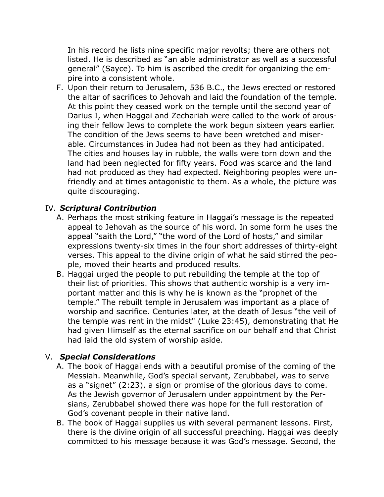In his record he lists nine specific major revolts; there are others not listed. He is described as "an able administrator as well as a successful general" (Sayce). To him is ascribed the credit for organizing the empire into a consistent whole.

F. Upon their return to Jerusalem, 536 B.C., the Jews erected or restored the altar of sacrifices to Jehovah and laid the foundation of the temple. At this point they ceased work on the temple until the second year of Darius I, when Haggai and Zechariah were called to the work of arousing their fellow Jews to complete the work begun sixteen years earlier. The condition of the Jews seems to have been wretched and miserable. Circumstances in Judea had not been as they had anticipated. The cities and houses lay in rubble, the walls were torn down and the land had been neglected for fifty years. Food was scarce and the land had not produced as they had expected. Neighboring peoples were unfriendly and at times antagonistic to them. As a whole, the picture was quite discouraging.

#### IV. *Scriptural Contribution*

- A. Perhaps the most striking feature in Haggai's message is the repeated appeal to Jehovah as the source of his word. In some form he uses the appeal "saith the Lord," "the word of the Lord of hosts," and similar expressions twenty-six times in the four short addresses of thirty-eight verses. This appeal to the divine origin of what he said stirred the people, moved their hearts and produced results.
- B. Haggai urged the people to put rebuilding the temple at the top of their list of priorities. This shows that authentic worship is a very important matter and this is why he is known as the "prophet of the temple." The rebuilt temple in Jerusalem was important as a place of worship and sacrifice. Centuries later, at the death of Jesus "the veil of the temple was rent in the midst" (Luke 23:45), demonstrating that He had given Himself as the eternal sacrifice on our behalf and that Christ had laid the old system of worship aside.

#### V. *Special Considerations*

- A. The book of Haggai ends with a beautiful promise of the coming of the Messiah. Meanwhile, God's special servant, Zerubbabel, was to serve as a "signet" (2:23), a sign or promise of the glorious days to come. As the Jewish governor of Jerusalem under appointment by the Persians, Zerubbabel showed there was hope for the full restoration of God's covenant people in their native land.
- B. The book of Haggai supplies us with several permanent lessons. First, there is the divine origin of all successful preaching. Haggai was deeply committed to his message because it was God's message. Second, the